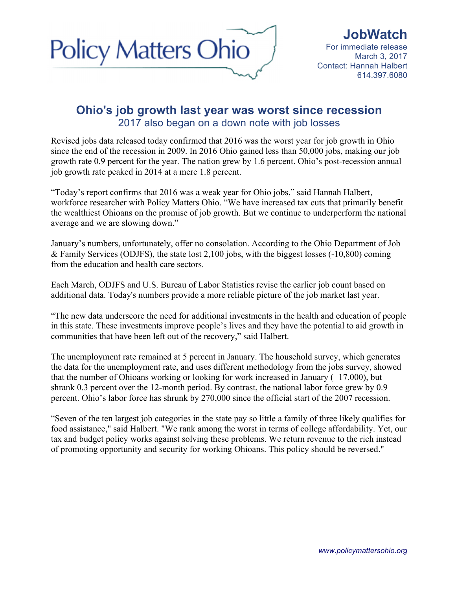

## **Ohio's job growth last year was worst since recession**  2017 also began on a down note with job losses

Revised jobs data released today confirmed that 2016 was the worst year for job growth in Ohio since the end of the recession in 2009. In 2016 Ohio gained less than 50,000 jobs, making our job growth rate 0.9 percent for the year. The nation grew by 1.6 percent. Ohio's post-recession annual job growth rate peaked in 2014 at a mere 1.8 percent.

"Today's report confirms that 2016 was a weak year for Ohio jobs," said Hannah Halbert, workforce researcher with Policy Matters Ohio. "We have increased tax cuts that primarily benefit the wealthiest Ohioans on the promise of job growth. But we continue to underperform the national average and we are slowing down."

January's numbers, unfortunately, offer no consolation. According to the Ohio Department of Job & Family Services (ODJFS), the state lost 2,100 jobs, with the biggest losses (-10,800) coming from the education and health care sectors.

Each March, ODJFS and U.S. Bureau of Labor Statistics revise the earlier job count based on additional data. Today's numbers provide a more reliable picture of the job market last year.

"The new data underscore the need for additional investments in the health and education of people in this state. These investments improve people's lives and they have the potential to aid growth in communities that have been left out of the recovery," said Halbert.

The unemployment rate remained at 5 percent in January. The household survey, which generates the data for the unemployment rate, and uses different methodology from the jobs survey, showed that the number of Ohioans working or looking for work increased in January (+17,000), but shrank 0.3 percent over the 12-month period. By contrast, the national labor force grew by 0.9 percent. Ohio's labor force has shrunk by 270,000 since the official start of the 2007 recession.

"Seven of the ten largest job categories in the state pay so little a family of three likely qualifies for food assistance," said Halbert. "We rank among the worst in terms of college affordability. Yet, our tax and budget policy works against solving these problems. We return revenue to the rich instead of promoting opportunity and security for working Ohioans. This policy should be reversed."